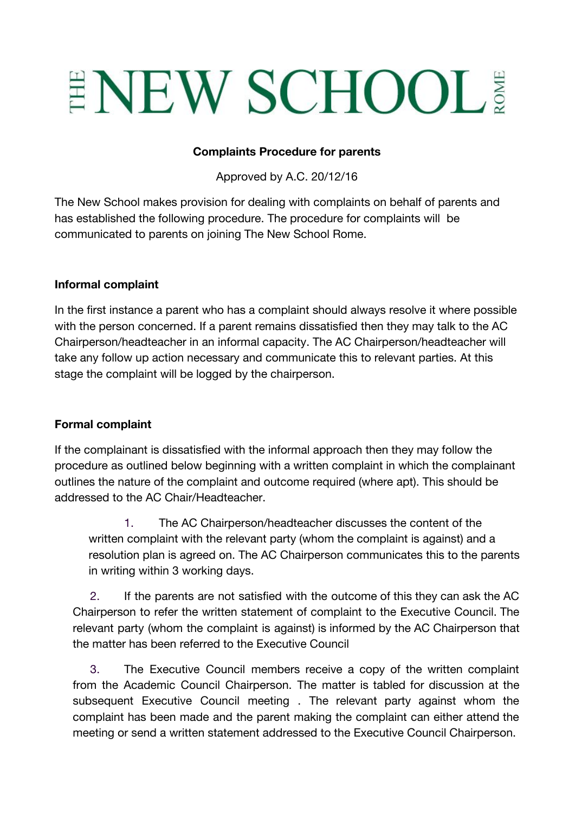# ENEW SCHOOL!

### **Complaints Procedure for parents**

Approved by A.C. 20/12/16

The New School makes provision for dealing with complaints on behalf of parents and has established the following procedure. The procedure for complaints will be communicated to parents on joining The New School Rome.

### **Informal complaint**

In the first instance a parent who has a complaint should always resolve it where possible with the person concerned. If a parent remains dissatisfied then they may talk to the AC Chairperson/headteacher in an informal capacity. The AC Chairperson/headteacher will take any follow up action necessary and communicate this to relevant parties. At this stage the complaint will be logged by the chairperson.

### **Formal complaint**

If the complainant is dissatisfied with the informal approach then they may follow the procedure as outlined below beginning with a written complaint in which the complainant outlines the nature of the complaint and outcome required (where apt). This should be addressed to the AC Chair/Headteacher.

1. The AC Chairperson/headteacher discusses the content of the written complaint with the relevant party (whom the complaint is against) and a resolution plan is agreed on. The AC Chairperson communicates this to the parents in writing within 3 working days.

2. If the parents are not satisfied with the outcome of this they can ask the AC Chairperson to refer the written statement of complaint to the Executive Council. The relevant party (whom the complaint is against) is informed by the AC Chairperson that the matter has been referred to the Executive Council

3. The Executive Council members receive a copy of the written complaint from the Academic Council Chairperson. The matter is tabled for discussion at the subsequent Executive Council meeting . The relevant party against whom the complaint has been made and the parent making the complaint can either attend the meeting or send a written statement addressed to the Executive Council Chairperson.